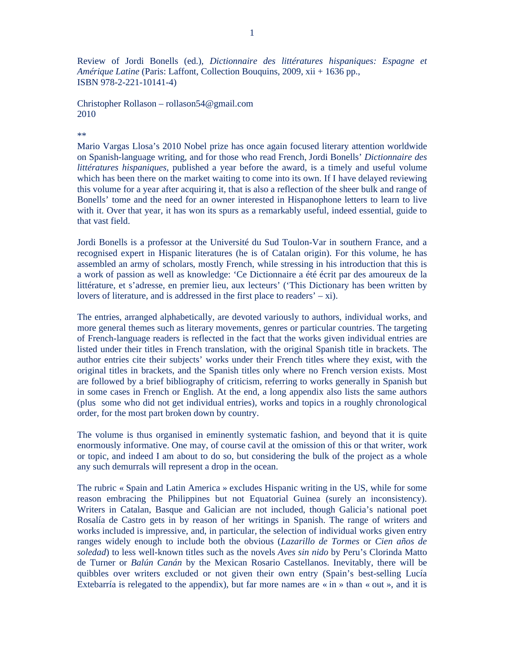Review of Jordi Bonells (ed.), *Dictionnaire des littératures hispaniques: Espagne et Amérique Latine* (Paris: Laffont, Collection Bouquins, 2009, xii + 1636 pp., ISBN 978-2-221-10141-4)

Christopher Rollason – rollason54@gmail.com 2010

## \*\*

Mario Vargas Llosa's 2010 Nobel prize has once again focused literary attention worldwide on Spanish-language writing, and for those who read French, Jordi Bonells' *Dictionnaire des littératures hispaniques*, published a year before the award, is a timely and useful volume which has been there on the market waiting to come into its own. If I have delayed reviewing this volume for a year after acquiring it, that is also a reflection of the sheer bulk and range of Bonells' tome and the need for an owner interested in Hispanophone letters to learn to live with it. Over that year, it has won its spurs as a remarkably useful, indeed essential, guide to that vast field.

Jordi Bonells is a professor at the Université du Sud Toulon-Var in southern France, and a recognised expert in Hispanic literatures (he is of Catalan origin). For this volume, he has assembled an army of scholars, mostly French, while stressing in his introduction that this is a work of passion as well as knowledge: 'Ce Dictionnaire a été écrit par des amoureux de la littérature, et s'adresse, en premier lieu, aux lecteurs' ('This Dictionary has been written by lovers of literature, and is addressed in the first place to readers' – xi).

The entries, arranged alphabetically, are devoted variously to authors, individual works, and more general themes such as literary movements, genres or particular countries. The targeting of French-language readers is reflected in the fact that the works given individual entries are listed under their titles in French translation, with the original Spanish title in brackets. The author entries cite their subjects' works under their French titles where they exist, with the original titles in brackets, and the Spanish titles only where no French version exists. Most are followed by a brief bibliography of criticism, referring to works generally in Spanish but in some cases in French or English. At the end, a long appendix also lists the same authors (plus some who did not get individual entries), works and topics in a roughly chronological order, for the most part broken down by country.

The volume is thus organised in eminently systematic fashion, and beyond that it is quite enormously informative. One may, of course cavil at the omission of this or that writer, work or topic, and indeed I am about to do so, but considering the bulk of the project as a whole any such demurrals will represent a drop in the ocean.

The rubric « Spain and Latin America » excludes Hispanic writing in the US, while for some reason embracing the Philippines but not Equatorial Guinea (surely an inconsistency). Writers in Catalan, Basque and Galician are not included, though Galicia's national poet Rosalía de Castro gets in by reason of her writings in Spanish. The range of writers and works included is impressive, and, in particular, the selection of individual works given entry ranges widely enough to include both the obvious (*Lazarillo de Tormes* or *Cien años de soledad*) to less well-known titles such as the novels *Aves sin nido* by Peru's Clorinda Matto de Turner or *Balún Canán* by the Mexican Rosario Castellanos. Inevitably, there will be quibbles over writers excluded or not given their own entry (Spain's best-selling Lucía Extebarría is relegated to the appendix), but far more names are « in » than « out », and it is